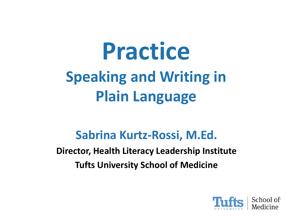## **Practice Speaking and Writing in Plain Language**

#### **Sabrina Kurtz-Rossi, M.Ed.**

**Director, Health Literacy Leadership Institute Tufts University School of Medicine** 

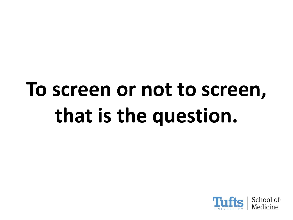## **To screen or not to screen, that is the question.**

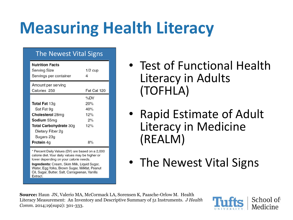### **Measuring Health Literacy**

#### The Newest Vital Signs

| <b>Nutrition Facts</b><br><b>Serving Size</b><br>Servings per container | $1/2$ cup   |
|-------------------------------------------------------------------------|-------------|
| Amount per serving<br>Calories 250                                      | Fat Cal 120 |
|                                                                         | %DV         |
| <b>Total Fat 13g</b>                                                    | 20%         |
| Sat Fat 9g                                                              | 40%         |
| Cholesterol 28mg                                                        | 12%         |
| <b>Sodium</b> 55mg                                                      | 2%          |
| <b>Total Carbohydrate 30g</b>                                           | 12%         |
| Dietary Fiber 2g                                                        |             |
| Sugars 23g                                                              |             |
| <b>Protein 4g</b>                                                       | 8%          |

\* Percent Daily Values (DV) are based on a 2,000 calorie diet. Your daily values may be higher or lower depending on your calorie needs.

Ingredients: Cream, Skim Milk, Liquid Sugar, Water, Egg Yolks, Brown Sugar, Milkfat, Peanut Oil, Sugar, Butter, Salt, Carrageenan, Vanilla Extract.

- Test of Functional Health Literacy in Adults (TOFHLA)
- Rapid Estimate of Adult Literacy in Medicine (REALM)
- The Newest Vital Signs

**Source:** Haun JN, Valerio MA, McCormack LA, Sorensen K, Paasche-Orlow M. Health Literacy Measurement: An Inventory and Descriptive Summary of 51 Instruments. *J Health Comm.* 2014;19(sup2): 301-333.

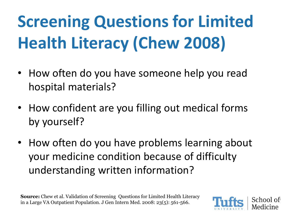## **Screening Questions for Limited Health Literacy (Chew 2008)**

- How often do you have someone help you read hospital materials?
- How confident are you filling out medical forms by yourself?
- How often do you have problems learning about your medicine condition because of difficulty understanding written information?

**Source:** Chew et al. Validation of Screening Questions for Limited Health Literacy in a Large VA Outpatient Population. J Gen Intern Med. 2008: 23(5): 561-566.

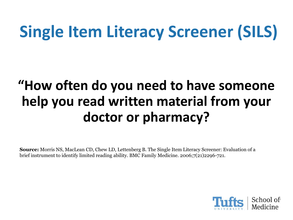### **Single Item Literacy Screener (SILS)**

#### **"How often do you need to have someone help you read written material from your doctor or pharmacy?**

**Source:** Morris NS, MacLean CD, Chew LD, Lettenberg B. The Single Item Literacy Screener: Evaluation of a brief instrument to identify limited reading ability. BMC Family Medicine. 2006;7(21)2296-721.

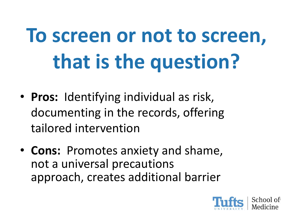# **To screen or not to screen, that is the question?**

- **Pros:** Identifying individual as risk, documenting in the records, offering tailored intervention
- **Cons:** Promotes anxiety and shame, not a universal precautions approach, creates additional barrier

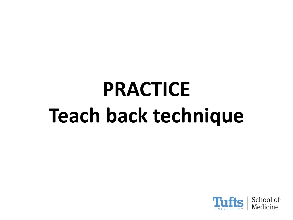## **PRACTICE Teach back technique**

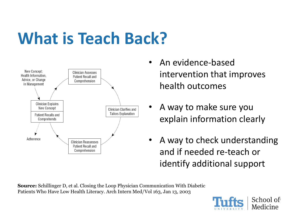#### **What is Teach Back?**



- An evidence-based intervention that improves health outcomes
- A way to make sure you explain information clearly
- A way to check understanding and if needed re-teach or identify additional support

**Source:** Schillinger D, et al. Closing the Loop Physician Communication With Diabetic Patients Who Have Low Health Literacy. Arch Intern Med/Vol 163, Jan 13, 2003

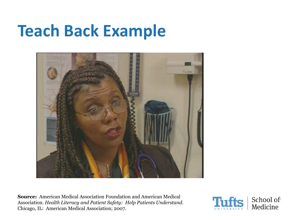#### **Teach Back Example**



**Source:** American Medical Association Foundation and American Medical Association*. Health Literacy and Patient Safety: Help Patients Understand.* Chicago, IL: American Medical Association; 2007.

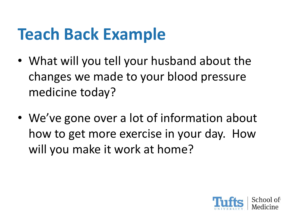#### **Teach Back Example**

- What will you tell your husband about the changes we made to your blood pressure medicine today?
- We've gone over a lot of information about how to get more exercise in your day. How will you make it work at home?

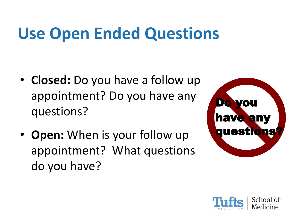### **Use Open Ended Questions**

- **Closed:** Do you have a follow up appointment? Do you have any questions?
- **Open:** When is your follow up appointment? What questions do you have?



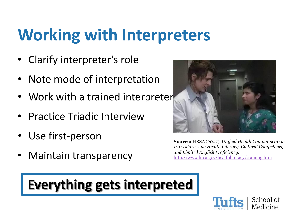#### **Working with Interpreters**

- Clarify interpreter's role
- Note mode of interpretation
- Work with a trained interpreter
- Practice Triadic Interview
- Use first-person
- Maintain transparency



**Source:** HRSA (2007). *Unified Health Communication 101: Addressing Health Literacy, Cultural Competency, and Limited English Proficiency.* <http://www.hrsa.gov/healthliteracy/training.htm>

#### **Everything gets interpreted**

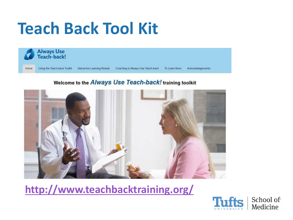#### **Teach Back Tool Kit**



#### Welcome to the Always Use Teach-back! training toolkit



**<http://www.teachbacktraining.org/>**

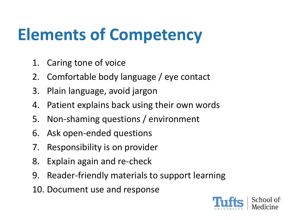#### **Elements of Competency**

- 1. Caring tone of voice
- 2. Comfortable body language / eye contact
- 3. Plain language, avoid jargon
- 4. Patient explains back using their own words
- 5. Non-shaming questions / environment
- 6. Ask open-ended questions
- 7. Responsibility is on provider
- 8. Explain again and re-check
- 9. Reader-friendly materials to support learning
- 10. Document use and response

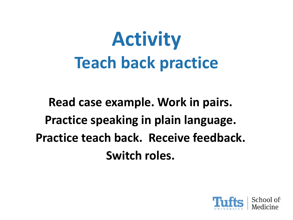## **Activity Teach back practice**

**Read case example. Work in pairs. Practice speaking in plain language. Practice teach back. Receive feedback. Switch roles.** 

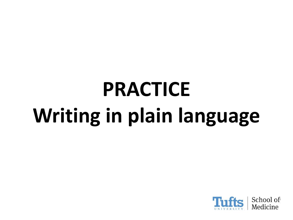# **PRACTICE Writing in plain language**

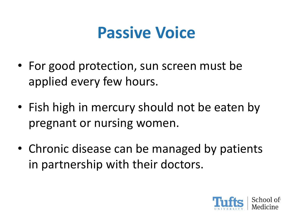#### **Passive Voice**

- For good protection, sun screen must be applied every few hours.
- Fish high in mercury should not be eaten by pregnant or nursing women.
- Chronic disease can be managed by patients in partnership with their doctors.

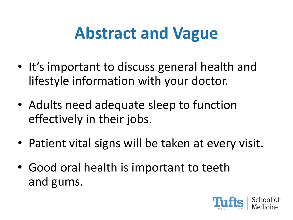#### **Abstract and Vague**

- It's important to discuss general health and lifestyle information with your doctor.
- Adults need adequate sleep to function effectively in their jobs.
- Patient vital signs will be taken at every visit.
- Good oral health is important to teeth and gums.

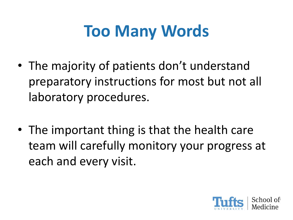#### **Too Many Words**

- The majority of patients don't understand preparatory instructions for most but not all laboratory procedures.
- The important thing is that the health care team will carefully monitory your progress at each and every visit.

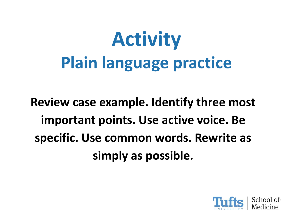## **Activity Plain language practice**

**Review case example. Identify three most important points. Use active voice. Be specific. Use common words. Rewrite as simply as possible.**